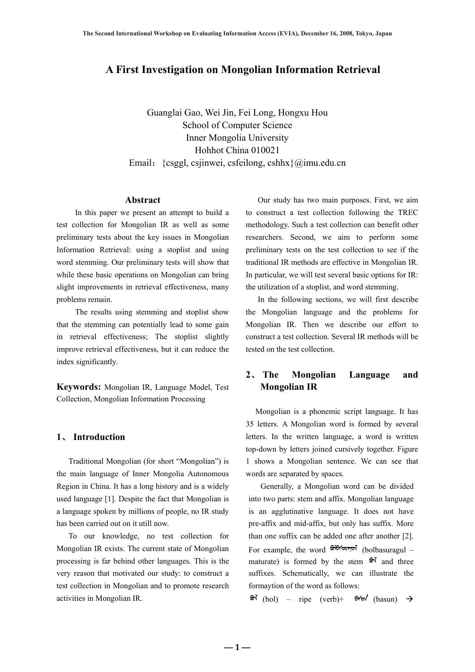# **A First Investigation on Mongolian Information Retrieval**

Guanglai Gao, Wei Jin, Fei Long, Hongxu Hou School of Computer Science Inner Mongolia University Hohhot China 010021 Email:{csggl, csjinwei, csfeilong, cshhx}@imu.edu.cn

## **Abstract**

In this paper we present an attempt to build a test collection for Mongolian IR as well as some preliminary tests about the key issues in Mongolian Information Retrieval: using a stoplist and using word stemming. Our preliminary tests will show that while these basic operations on Mongolian can bring slight improvements in retrieval effectiveness, many problems remain.

The results using stemming and stoplist show that the stemming can potentially lead to some gain in retrieval effectiveness; The stoplist slightly improve retrieval effectiveness, but it can reduce the index significantly.

**Keywords:** Mongolian IR, Language Model, Test Collection, Mongolian Information Processing

## **1**、 **Introduction**

Traditional Mongolian (for short "Mongolian") is the main language of Inner Mongolia Autonomous Region in China. It has a long history and is a widely used language [1]. Despite the fact that Mongolian is a language spoken by millions of people, no IR study has been carried out on it utill now.

To our knowledge, no test collection for Mongolian IR exists. The current state of Mongolian processing is far behind other languages. This is the very reason that motivated our study: to construct a test collection in Mongolian and to promote research activities in Mongolian IR.

Our study has two main purposes. First, we aim to construct a test collection following the TREC methodology. Such a test collection can benefit other researchers. Second, we aim to perform some preliminary tests on the test collection to see if the traditional IR methods are effective in Mongolian IR. In particular, we will test several basic options for IR: the utilization of a stoplist, and word stemming.

In the following sections, we will first describe the Mongolian language and the problems for Mongolian IR. Then we describe our effort to construct a test collection. Several IR methods will be tested on the test collection.

# **2**、 **The Mongolian Language and Mongolian IR**

Mongolian is a phonemic script language. It has 35 letters. A Mongolian word is formed by several letters. In the written language, a word is written top-down by letters joined cursively together. Figure 1 shows a Mongolian sentence. We can see that words are separated by spaces.

Generally, a Mongolian word can be divided into two parts: stem and affix. Mongolian language is an agglutinative language. It does not have pre-affix and mid-affix, but only has suffix. More than one suffix can be added one after another [2]. For example, the word  $\mathbb{R}^{n}$  following (bolbasuragul – maturate) is formed by the stem  $\mathbf{\hat{m}}$  and three suffixes. Schematically, we can illustrate the formaytion of the word as follows:

 $\theta$  (bol) – ripe (verb)+  $\theta$ M $\theta$  (basun)  $\rightarrow$ 

 $-1 -$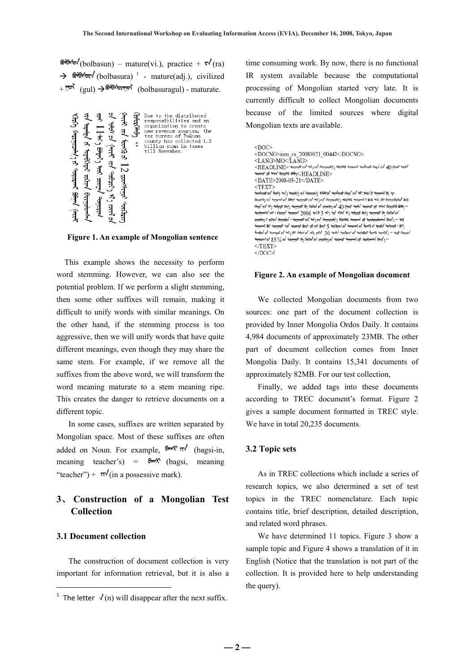$\theta$ <sup>orow</sup> (bolbasun) – mature(vi.), practice +  $\theta$  (ra)  $\rightarrow$   $\oplus$   $\oplus$   $\oplus$   $\oplus$  (bolbasura)<sup>1</sup> - mature(adj.), civilized + (gul) Æ (bolbasuragul) - maturate.

**Figure 1. An example of Mongolian sentence** 

 This example shows the necessity to perform word stemming. However, we can also see the potential problem. If we perform a slight stemming, then some other suffixes will remain, making it difficult to unify words with similar meanings. On the other hand, if the stemming process is too aggressive, then we will unify words that have quite different meanings, even though they may share the same stem. For example, if we remove all the suffixes from the above word, we will transform the word meaning maturate to a stem meaning ripe. This creates the danger to retrieve documents on a different topic.

In some cases, suffixes are written separated by Mongolian space. Most of these suffixes are often added on Noun. For example,  $\theta_{\text{max}} \sqrt{\pi}$  (bagsi-in, meaning teacher's) =  $\theta$  (bagsi, meaning "teacher") +  $\pi$ <sup>'</sup>(in a possessive mark).

# **3**、 **Construction of a Mongolian Test Collection**

## **3.1 Document collection**

The construction of document collection is very important for information retrieval, but it is also a time consuming work. By now, there is no functional IR system available because the computational processing of Mongolian started very late. It is currently difficult to collect Mongolian documents because of the limited sources where digital Mongolian texts are available.

| $<$ DOC $>$                                                                                                                                                              |
|--------------------------------------------------------------------------------------------------------------------------------------------------------------------------|
| <docno>imu cs 20080521 00442</docno>                                                                                                                                     |
| <lang>MO</lang>                                                                                                                                                          |
| $<$ HEADLINE> المبحر المراسم بسمس السمس المربح المستحدة المستحدة المراسم المستحد المستحد المستحدة المر                                                                   |
| *অস্তা রা শন/ জির্জার ট্রাউণ্≍/HEADLINE>                                                                                                                                 |
| $<$ DATE>2008-05-21                                                                                                                                                      |
| $<$ TEXT>                                                                                                                                                                |
| ـګو لنو پسمنښن ی پاهېز رینو پندې په مهندېدی پخپیون لا ټخمنصان په لانېمنه لړی لريکې لري په پمندېمنۍ                                                                       |
| gits ، ومجوبتديمن بوه ثريب وبنج ن يستخشى ويبريتور دَيَنيحمَنْتس ٢٠٪ ثريب ٢٠٪ ريحتشتم. رينيون ٢٩ يستخشى ٢٠٪ لرينمثنون                                                     |
| ۰۰ وټوپو پريمندي پنډ په پهسمې پنهنې رپمنه () ) په لانيمند <sub>پ</sub> ه رمړه مړي وي. پندنشم لرغو په پنه لاي پاکمن                                                       |
| <sub>ا</sub> ه پمرمن لن ريخشنم. لاينن ريميمن لربر <sub>ا</sub> بنربر <sub>ا</sub> هر لربر. 3 پاهر 3000 <sub>ا</sub> منتختمن <sub>ا</sub> ستخر، ربند <sub>ا</sub> ستنينمر |
| وبذ  ('إعلان <sub>ا</sub> ميمونتجمتر به يسمنس وبريتور (اليحمنانس إله ليس <sub>ا</sub> لمنتشم. ، إممانتان <sub>ا</sub> متريتا والترعجم                                    |
| (94 ـ تحتنيجي ريوتكم ربا وربنم <sub>و</sub> ام <u>رسميتس و ربنم ربانه ربانه ربانه رحمتم <sub>و</sub>حتى ريحتنيم. ربع رسميتس ال</u>                                       |
| پسپیم، وی بینسفر در جدا که در سودر در شه کرد و در استیم و شهر استیم به استیم به استیم استیم است.                                                                         |
| ۰۰ ر)بینه /۱۳۵۰ میشویند تها توسطینه /۵۰ میشوید /۵۰ میلیندین و استبعاد /۵ /۵ /۵ /۵۰ میلینده                                                                               |
| $<$ TEXT>                                                                                                                                                                |
| $<$ /DOC $>$                                                                                                                                                             |

#### **Figure 2. An example of Mongolian document**

We collected Mongolian documents from two sources: one part of the document collection is provided by Inner Mongolia Ordos Daily. It contains 4,984 documents of approximately 23MB. The other part of document collection comes from Inner Mongolia Daily. It contains 15,341 documents of approximately 82MB. For our test collection,

Finally, we added tags into these documents according to TREC document's format. Figure 2 gives a sample document formatted in TREC style. We have in total 20,235 documents.

## **3.2 Topic sets**

As in TREC collections which include a series of research topics, we also determined a set of test topics in the TREC nomenclature. Each topic contains title, brief description, detailed description, and related word phrases.

We have determined 11 topics. Figure 3 show a sample topic and Figure 4 shows a translation of it in English (Notice that the translation is not part of the collection. It is provided here to help understanding the query).

<sup>&</sup>lt;sup>1</sup> The letter  $\sqrt{(n)}$  will disappear after the next suffix.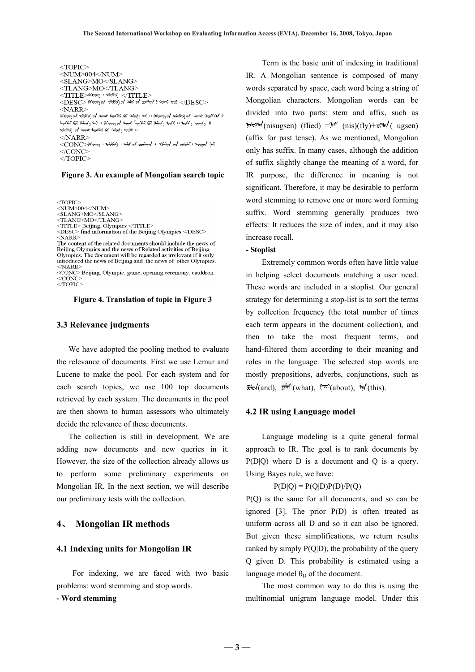| $<$ TOPIC $>$                                                                                                                                          |
|--------------------------------------------------------------------------------------------------------------------------------------------------------|
| <num>004</num>                                                                                                                                         |
| <slang>MO</slang>                                                                                                                                      |
| <tlang>MO</tlang>                                                                                                                                      |
| $<$ $\text{TTTE}$ $>$ $\text{\tiny{R\rightarrow R\rightarrow R\rightarrow}}$ $\cdot$ $\text{\tiny{R\rightarrow R\rightarrow}}$ $<$ / $\text{TTTE}$ $>$ |
| $<\!\!{\rm DESC}\!\!>$ السود ( پستسیم مراجع البلاد) من البلاد ( پستسیم من البلاد) و $<\!\!{\rm DESC}\!\!>$                                             |
| $<$ NARR $>$                                                                                                                                           |
| 00 / 100€1000 م ( مستر ) مع الله عليه المسترد المسترد المسترد المسترد المسترد المسترد ( مسترد المسترد المسترد ا                                        |
| e راپستمبر (۱۹۹۷ - ۱۹۹۷) به پستار کی رسیس پستار بر استریز (۱۹۹۰ - ۱۹۹۰) به استراکا بر بر استراکا بر استراکا                                            |
| <del>101ेदॉ</del> 9री) व√ी <del>जना</del> री <del>मिट्टा(मेन्</del> रे क्रिरे ऑक्स़ूरी 10रारि **                                                       |
| $<$ NARR $>$                                                                                                                                           |
| $<\!\!{\rm CONC}\!\!>$ ואלי האמשיך ( האלקציה ה- האלקט ה- האלקט ה- האלקט ה- האלקט ה- האלקט ה- האלקט ה- האלקט ה                                          |
| $\epsilon$ CONC>                                                                                                                                       |

 $\leq$ TOPIC>

#### **Figure 3. An example of Mongolian search topic**

 $<$ TOPIC $>$ <NUM>004</NUM>  $<\!\!SLANG>MO<SLANG>\\<\!\!TLANG>MO<TLANG>$ <TITLE> Beijing, Olympics </TITLE><br>
<DESC> find information of the Beijing Olympics </DESC>

 $<$ NARR> The content of the related documents should include the news of<br>Beijing Olympics and the news of Related activities of Beijing Olympics. The document will be regarded as irrelevant if it only introduced the news of Beijing and the news of other Olympics.  $<$ NARR>

<CONC> Beijing, Olympic, game, opening ceremony, cauldron  $\triangle$ CONC  $\leq$ TOPIC>

#### **Figure 4. Translation of topic in Figure 3**

#### **3.3 Relevance judgments**

We have adopted the pooling method to evaluate the relevance of documents. First we use Lemur and Lucene to make the pool. For each system and for each search topics, we use 100 top documents retrieved by each system. The documents in the pool are then shown to human assessors who ultimately decide the relevance of these documents.

The collection is still in development. We are adding new documents and new queries in it. However, the size of the collection already allows us to perform some preliminary experiments on Mongolian IR. In the next section, we will describe our preliminary tests with the collection.

## **4**、 **Mongolian IR methods**

## **4.1 Indexing units for Mongolian IR**

For indexing, we are faced with two basic problems: word stemming and stop words.

## **- Word stemming**

Term is the basic unit of indexing in traditional IR. A Mongolian sentence is composed of many words separated by space, each word being a string of Mongolian characters. Mongolian words can be divided into two parts: stem and affix, such as  $\pi$ hom<sup>/</sup>(nisugsen) (flied) = $\pi$ <sup>//</sup> (nis)(fly)+ $\pi$ c $\pi$ /( ugsen) (affix for past tense). As we mentioned, Mongolian only has suffix. In many cases, although the addition of suffix slightly change the meaning of a word, for IR purpose, the difference in meaning is not significant. Therefore, it may be desirable to perform word stemming to remove one or more word forming suffix. Word stemming generally produces two effects: It reduces the size of index, and it may also increase recall.

## **- Stoplist**

Extremely common words often have little value in helping select documents matching a user need. These words are included in a stoplist. Our general strategy for determining a stop-list is to sort the terms by collection frequency (the total number of times each term appears in the document collection), and then to take the most frequent terms, and hand-filtered them according to their meaning and roles in the language. The selected stop words are mostly prepositions, adverbs, conjunctions, such as  $\mathbb{R}$  (and),  $\pi \mathbb{R}$  (what),  $\mathbb{R}$ <sup>ove</sup> (about),  $\mathbb{R}$  (this).

### **4.2 IR using Language model**

Language modeling is a quite general formal approach to IR. The goal is to rank documents by P(D|Q) where D is a document and Q is a query. Using Bayes rule, we have:

## $P(D|O) = P(O|D)P(D)/P(O)$

P(Q) is the same for all documents, and so can be ignored [3]. The prior P(D) is often treated as uniform across all D and so it can also be ignored. But given these simplifications, we return results ranked by simply  $P(Q|D)$ , the probability of the query Q given D. This probability is estimated using a language model  $\theta_D$  of the document.

The most common way to do this is using the multinomial unigram language model. Under this

**― 3 ―**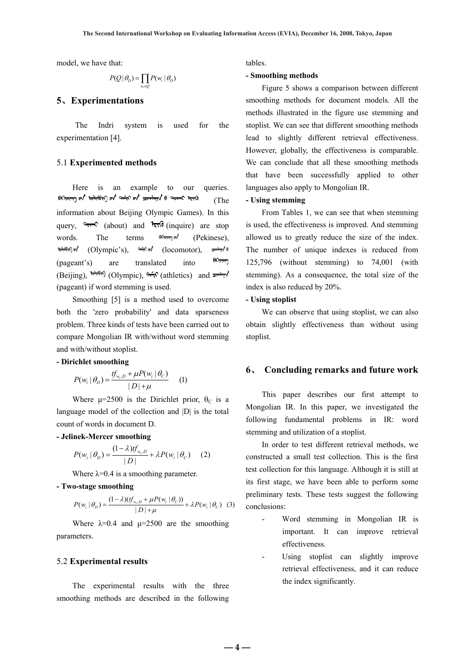model, we have that:

$$
P(Q | \theta_D) = \prod_{w_i \in Q} P(w_i | \theta_D)
$$

## **5**、**Experimentations**

The Indri system is used for the experimentation [4].

## 5.1 **Experimented methods**

Here is an example to our queries.  $\frac{1}{2}$   $\frac{1}{2}$   $\frac{1}{2}$   $\frac{1}{2}$   $\frac{1}{2}$   $\frac{1}{2}$   $\frac{1}{2}$   $\frac{1}{2}$   $\frac{1}{2}$   $\frac{1}{2}$   $\frac{1}{2}$   $\frac{1}{2}$   $\frac{1}{2}$   $\frac{1}{2}$   $\frac{1}{2}$   $\frac{1}{2}$   $\frac{1}{2}$   $\frac{1}{2}$   $\frac{1}{2}$   $\frac{1}{2}$   $\frac{1}{2}$   $\frac{1}{2}$  (The information about Beijing Olympic Games). In this query,  $90\pi r^2$  (about) and  $12\pi r^2$  (inquire) are stop words. The terms  $\mathbb{R}^m$  (Pekinese), (ocomotor), الصليبي (Olympic's), السلوم (locomotor), <del>saning</del>/e  $60<sub>211</sub>$ (pageant's) are translated into (Beijing),  $\overline{b}$  (Olympic),  $\overline{b}$  (athletics) and  $\overline{a}$   $\overline{b}$ (pageant) if word stemming is used.

Smoothing [5] is a method used to overcome both the 'zero probability' and data sparseness problem. Three kinds of tests have been carried out to compare Mongolian IR with/without word stemming and with/without stoplist.

## **- Dirichlet smoothing**

$$
P(w_i | \theta_D) = \frac{tf_{w_i, D} + \mu P(w_i | \theta_C)}{|D| + \mu}
$$
 (1)

Where  $\mu$ =2500 is the Dirichlet prior,  $\theta_c$  is a language model of the collection and |D| is the total count of words in document D.

### **- Jelinek-Mercer smoothing**

$$
P(w_i | \theta_D) = \frac{(1 - \lambda)tf_{w_i, D}}{|D|} + \lambda P(w_i | \theta_C)
$$
 (2)

Where  $\lambda$ =0.4 is a smoothing parameter.

## **- Two-stage smoothing**

$$
P(w_i | \theta_D) = \frac{(1 - \lambda)(tf_{w_i, D} + \mu P(w_i | \theta_C))}{|D| + \mu} + \lambda P(w_i | \theta_C) \quad (3)
$$

 parameters. Where  $\lambda=0.4$  and  $\mu=2500$  are the smoothing

#### 5.2 **Experimental results**

The experimental results with the three smoothing methods are described in the following tables.

## **- Smoothing methods**

Figure 5 shows a comparison between different smoothing methods for document models. All the methods illustrated in the figure use stemming and stoplist. We can see that different smoothing methods lead to slightly different retrieval effectiveness. However, globally, the effectiveness is comparable. We can conclude that all these smoothing methods that have been successfully applied to other languages also apply to Mongolian IR.

## **- Using stemming**

From Tables 1, we can see that when stemming is used, the effectiveness is improved. And stemming allowed us to greatly reduce the size of the index. The number of unique indexes is reduced from 125,796 (without stemming) to 74,001 (with stemming). As a consequence, the total size of the index is also reduced by 20%.

### **- Using stoplist**

We can observe that using stoplist, we can also obtain slightly effectiveness than without using stoplist.

## **6**、 **Concluding remarks and future work**

This paper describes our first attempt to Mongolian IR. In this paper, we investigated the following fundamental problems in IR: word stemming and utilization of a stoplist.

In order to test different retrieval methods, we constructed a small test collection. This is the first test collection for this language. Although it is still at its first stage, we have been able to perform some preliminary tests. These tests suggest the following conclusions:

- Word stemming in Mongolian IR is important. It can improve retrieval effectiveness.
- Using stoplist can slightly improve retrieval effectiveness, and it can reduce the index significantly.

**― 4 ―**